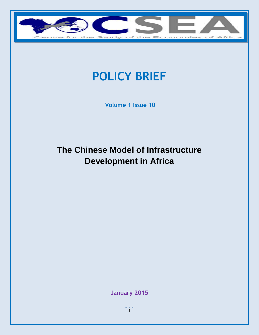

# **POLICY BRIEF**

**Volume 1 Issue 10**

# **The Chinese Model of Infrastructure Development in Africa**

**January 2015**

 $\frac{1}{1}$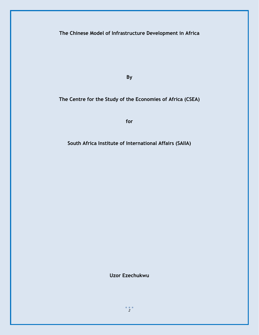**The Chinese Model of Infrastructure Development in Africa**

**By**

**The Centre for the Study of the Economies of Africa (CSEA)**

**for** 

**South Africa Institute of International Affairs (SAIIA)**

**Uzor Ezechukwu**

 $\frac{2}{2}$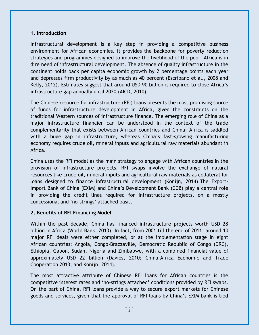#### **1. Introduction**

Infrastructural development is a key step in providing a competitive business environment for African economies. It provides the backbone for poverty reduction strategies and programmes designed to improve the livelihood of the poor. Africa is in dire need of infrastructural development. The absence of quality infrastructure in the continent holds back per capita economic growth by 2 percentage points each year and depresses firm productivity by as much as 40 percent (Escribano et al., 2008 and Kelly, 2012). Estimates suggest that around USD 90 billion is required to close Africa's infrastructure gap annually until 2020 (AICD, 2010).

The Chinese resource for infrastructure (RFI) loans presents the most promising source of funds for infrastructure development in Africa, given the constraints on the traditional Western sources of infrastructure finance. The emerging role of China as a major infrastructure financier can be understood in the context of the trade complementarity that exists between African countries and China: Africa is saddled with a huge gap in infrastructure, whereas China's fast-growing manufacturing economy requires crude oil, mineral inputs and agricultural raw materials abundant in Africa.

China uses the RFI model as the main strategy to engage with African countries in the provision of infrastructure projects. RFI swaps involve the exchange of natural resources like crude oil, mineral inputs and agricultural raw materials as collateral for loans designed to finance infrastructural development (Konijn, 2014).The Export-Import Bank of China (EXIM) and China's Development Bank (CDB) play a central role in providing the credit lines required for infrastructure projects, on a mostly concessional and 'no-strings' attached basis.

#### **2. Benefits of RFI Financing Model**

Within the past decade, China has financed infrastructure projects worth USD 28 billion in Africa (World Bank, 2013). In fact, from 2001 till the end of 2011, around 10 major RFI deals were either completed, or at the implementation stage in eight African countries: Angola, Congo-Brazzaville, Democratic Republic of Congo (DRC), Ethiopia, Gabon, Sudan, Nigeria and Zimbabwe, with a combined financial value of approximately USD 22 billion (Davies, 2010; China-Africa Economic and Trade Cooperation 2013; and Konijn, 2014).

The most attractive attribute of Chinese RFI loans for African countries is the competitive interest rates and 'no-strings attached' conditions provided by RFI swaps. On the part of China, RFI loans provide a way to secure export markets for Chinese goods and services, given that the approval of RFI loans by China's EXIM bank is tied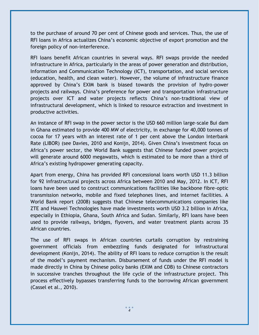to the purchase of around 70 per cent of Chinese goods and services. Thus, the use of RFI loans in Africa actualizes China's economic objective of export promotion and the foreign policy of non-interference.

RFI loans benefit African countries in several ways. RFI swaps provide the needed infrastructure in Africa, particularly in the areas of power generation and distribution, Information and Communication Technology (ICT), transportation, and social services (education, health, and clean water). However, the volume of infrastructure finance approved by China's EXIM bank is biased towards the provision of hydro-power projects and railways. China's preference for power and transportation infrastructure projects over ICT and water projects reflects China's non-traditional view of infrastructural development, which is linked to resource extraction and investment in productive activities.

An instance of RFI swap in the power sector is the USD 660 million large-scale Bui dam in Ghana estimated to provide 400 MW of electricity, in exchange for 40,000 tonnes of cocoa for 17 years with an interest rate of 1 per cent above the London Interbank Rate (LIBOR) (see Davies, 2010 and Konijn, 2014). Given China's investment focus on Africa's power sector, the World Bank suggests that Chinese funded power projects will generate around 6000 megawatts, which is estimated to be more than a third of Africa's existing hydropower generating capacity.

Apart from energy, China has provided RFI concessional loans worth USD 11.3 billion for 92 infrastructural projects across Africa between 2010 and May, 2012. In ICT, RFI loans have been used to construct communications facilities like backbone fibre-optic transmission networks, mobile and fixed telephones lines, and internet facilities. A World Bank report (2008) suggests that Chinese telecommunications companies like ZTE and Hauwei Technologies have made investments worth USD 3.2 billion in Africa, especially in Ethiopia, Ghana, South Africa and Sudan. Similarly, RFI loans have been used to provide railways, bridges, flyovers, and water treatment plants across 35 African countries.

The use of RFI swaps in African countries curtails corruption by restraining government officials from embezzling funds designated for infrastructural development (Konijn, 2014). The ability of RFI loans to reduce corruption is the result of the model's payment mechanism. Disbursement of funds under the RFI model is made directly in China by Chinese policy banks (EXIM and CDB) to Chinese contractors in successive tranches throughout the life cycle of the infrastructure project. This process effectively bypasses transferring funds to the borrowing African government (Cassel et al., 2010).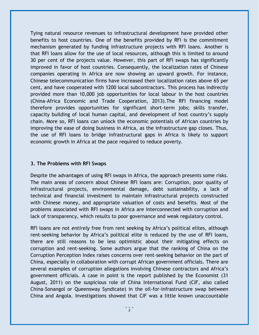Tying natural resource revenues to infrastructural development have provided other benefits to host countries. One of the benefits provided by RFI is the commitment mechanism generated by funding infrastructure projects with RFI loans. Another is that RFI loans allow for the use of local resources, although this is limited to around 30 per cent of the projects value. However, this part of RFI swaps has significantly improved in favor of host countries. Consequently, the localization rates of Chinese companies operating in Africa are now showing an upward growth. For instance, Chinese telecommunication firms have increased their localization rates above 65 per cent, and have cooperated with 1200 local subcontractors. This process has indirectly provided more than 10,000 job opportunities for local labour in the host countries (China-Africa Economic and Trade Cooperation, 2013).The RFI financing model therefore provides opportunities for significant short-term jobs; skills transfer, capacity building of local human capital, and development of host country's supply chain. More so, RFI loans can unlock the economic potentials of African countries by improving the ease of doing business in Africa, as the infrastructure gap closes. Thus, the use of RFI loans to bridge infrastructural gaps in Africa is likely to support economic growth in Africa at the pace required to reduce poverty.

#### **3. The Problems with RFI Swaps**

Despite the advantages of using RFI swaps in Africa, the approach presents some risks. The main areas of concern about Chinese RFI loans are: Corruption, poor quality of infrastructural projects, environmental damage, debt sustainability, a lack of technical and financial investment to maintain infrastructural projects constructed with Chinese money, and appropriate valuation of costs and benefits. Most of the problems associated with RFI swaps in Africa are interconnected with corruption and lack of transparency, which results to poor governance and weak regulatory control.

RFI loans are not *entirely* free from rent seeking by Africa's political elites, although rent-seeking behavior by Africa's political elite is reduced by the use of RFI loans, there are still reasons to be less optimistic about their mitigating effects on corruption and rent-seeking. Some authors argue that the ranking of China on the Corruption Perception Index raises concerns over rent-seeking behavior on the part of China, especially in collaboration with corrupt African government officials. There are several examples of corruption allegations involving Chinese contractors and Africa's government officials. A case in point is the report published by the Economist (31 August, 2011) on the suspicious role of China International Fund (CIF, also called China-Sonangol or Queensway Syndicate) in the oil-for-infrastructure swap between China and Angola. Investigations showed that CIF was a little known unaccountable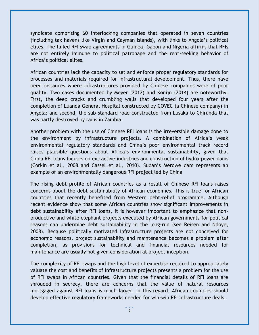syndicate comprising 60 interlocking companies that operated in seven countries (including tax havens like Virgin and Cayman Islands), with links to Angola's political elites. The failed RFI swap agreements in Guinea, Gabon and Nigeria affirms that RFIs are not entirely immune to political patronage and the rent-seeking behavior of Africa's political elites.

African countries lack the capacity to set and enforce proper regulatory standards for processes and materials required for infrastructural development. Thus, there have been instances where infrastructures provided by Chinese companies were of poor quality. Two cases documented by Meyer (2012) and Konijn (2014) are noteworthy. First, the deep cracks and crumbling walls that developed four years after the completion of Luanda General Hospital constructed by COVEC (a Chinese company) in Angola; and second, the sub-standard road constructed from Lusaka to Chirunda that was partly destroyed by rains in Zambia.

Another problem with the use of Chinese RFI loans is the irreversible damage done to the environment by infrastructure projects. A combination of Africa's weak environmental regulatory standards and China's poor environmental track record raises plausible questions about Africa's environmental sustainability, given that China RFI loans focuses on extractive industries and construction of hydro-power dams (Corkin et al., 2008 and Cassel et al., 2010). Sudan's Merowe dam represents an example of an environmentally dangerous RFI project led by China

The rising debt profile of African countries as a result of Chinese RFI loans raises concerns about the debt sustainability of African economies. This is true for African countries that recently benefited from Western debt-relief programme. Although recent evidence show that some African countries show significant improvements in debt sustainability after RFI loans, it is however important to emphasize that nonproductive and white elephant projects executed by African governments for political reasons can undermine debt sustainability in the long-run (see Reisen and Ndoye, 2008). Because politically motivated infrastructure projects are not conceived for economic reasons, project sustainability and maintenance becomes a problem after completion, as provisions for technical and financial resources needed for maintenance are usually not given consideration at project inception.

The complexity of RFI swaps and the high level of expertise required to appropriately valuate the cost and benefits of infrastructure projects presents a problem for the use of RFI swaps in African countries. Given that the financial details of RFI loans are shrouded in secrecy, there are concerns that the value of natural resources mortgaged against RFI loans is much larger. In this regard, African countries should develop effective regulatory frameworks needed for win-win RFI infrastructure deals.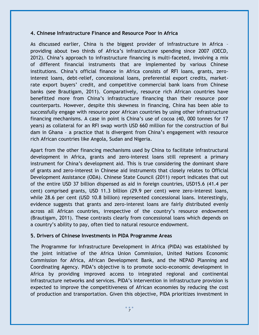#### **4. Chinese Infrastructure Finance and Resource Poor in Africa**

As discussed earlier, China is the biggest provider of infrastructure in Africa – providing about two thirds of Africa's infrastructure spending since 2007 (OECD, 2012). China's approach to infrastructure financing is multi-faceted, involving a mix of different financial instruments that are implemented by various Chinese institutions. China's official finance in Africa consists of RFI loans, grants, zerointerest loans, debt-relief, concessional loans, preferential export credits, marketrate export buyers' credit, and competitive commercial bank loans from Chinese banks (see Brautigam, 2011). Comparatively, resource rich African countries have benefitted more from China's infrastructure financing than their resource poor counterparts. However, despite this skewness in financing, China has been able to successfully engage with resource poor African countries by using other infrastructure financing mechanisms. A case in point is China's use of cocoa (40, 000 tonnes for 17 years) as collateral for an RFI swap worth USD 660 million for the construction of Bui dam in Ghana – a practice that is divergent from China's engagement with resource rich African countries like Angola, Sudan and Nigeria.

Apart from the other financing mechanisms used by China to facilitate infrastructural development in Africa, grants and zero-interest loans still represent a primary instrument for China's development aid. This is true considering the dominant share of grants and zero-interest in Chinese aid instruments that closely relates to Official Development Assistance (ODA). Chinese State Council (2011) report indicates that out of the entire USD 37 billion dispensed as aid in foreign countries, USD15.6 (41.4 per cent) comprised grants, USD 11.3 billion (29.9 per cent) were zero-interest loans, while 28.6 per cent (USD 10.8 billion) represented concessional loans. Interestingly, evidence suggests that grants and zero-interest loans are fairly distributed evenly across all African countries, irrespective of the country's resource endowment (Brautigam, 2011). These contrasts clearly from concessional loans which depends on a country's ability to pay, often tied to natural resource endowment.

### **5. Drivers of Chinese Investments in PIDA Programme Areas**

The Programme for Infrastructure Development in Africa (PIDA) was established by the joint initiative of the Africa Union Commission, United Nations Economic Commission for Africa, African Development Bank, and the NEPAD Planning and Coordinating Agency. PIDA's objective is to promote socio-economic development in Africa by providing improved access to integrated regional and continental infrastructure networks and services. PIDA's intervention in infrastructure provision is expected to improve the competitiveness of African economies by reducing the cost of production and transportation. Given this objective, PIDA prioritizes investment in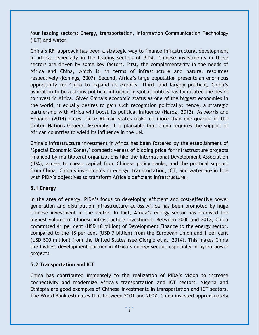four leading sectors: Energy, transportation, Information Communication Technology (ICT) and water.

China's RFI approach has been a strategic way to finance infrastructural development in Africa, especially in the leading sectors of PIDA. Chinese investments in these sectors are driven by some key factors. First, the complementarity in the needs of Africa and China, which is, in terms of infrastructure and natural resources respectively (Konings, 2007). Second, Africa's large population presents an enormous opportunity for China to expand its exports. Third, and largely political, China's aspiration to be a strong political influence in global politics has facilitated the desire to invest in Africa. Given China's economic status as one of the biggest economies in the world, it equally desires to gain such recognition politically; hence, a strategic partnership with Africa will boost its political influence (Haroz, 2012). As Morris and Hanauer (2014) notes, since African states make up more than one-quarter of the United Nations General Assembly, it is plausible that China requires the support of African countries to wield its influence in the UN.

China's infrastructure investment in Africa has been fostered by the establishment of 'Special Economic Zones,' competitiveness of bidding price for infrastructure projects financed by multilateral organizations like the International Development Association (IDA), access to cheap capital from Chinese policy banks, and the political support from China. China's investments in energy, transportation, ICT, and water are in line with PIDA's objectives to transform Africa's deficient infrastructure.

### **5.1 Energy**

In the area of energy, PIDA's focus on developing efficient and cost-effective power generation and distribution infrastructure across Africa has been promoted by huge Chinese investment in the sector. In fact, Africa's energy sector has received the highest volume of Chinese infrastructure investment. Between 2000 and 2012, China committed 41 per cent (USD 16 billion) of Development Finance to the energy sector, compared to the 18 per cent (USD 7 billion) from the European Union and 1 per cent (USD 500 million) from the United States (see Giorgio et al, 2014). This makes China the highest development partner in Africa's energy sector, especially in hydro-power projects.

# **5.2 Transportation and ICT**

China has contributed immensely to the realization of PIDA's vision to increase connectivity and modernize Africa's transportation and ICT sectors. Nigeria and Ethiopia are good examples of Chinese investments in transportation and ICT sectors. The World Bank estimates that between 2001 and 2007, China invested approximately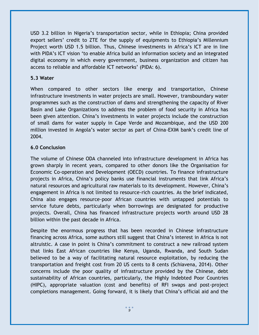USD 3.2 billion in Nigeria's transportation sector, while in Ethiopia; China provided export sellers' credit to ZTE for the supply of equipments to Ethiopia's Millennium Project worth USD 1.5 billion. Thus, Chinese investments in Africa's ICT are in line with PIDA's ICT vision 'to enable Africa build an information society and an integrated digital economy in which every government, business organization and citizen has access to reliable and affordable ICT networks' (PIDA: 6).

## **5.3 Water**

When compared to other sectors like energy and transportation, Chinese infrastructure investments in water projects are small. However, transboundary water programmes such as the construction of dams and strengthening the capacity of River Basin and Lake Organizations to address the problem of food security in Africa has been given attention. China's investments in water projects include the construction of small dams for water supply in Cape Verde and Mozambique, and the USD 200 million invested in Angola's water sector as part of China-EXIM bank's credit line of 2004.

# **6.0 Conclusion**

The volume of Chinese ODA channeled into infrastructure development in Africa has grown sharply in recent years, compared to other donors like the Organisation for Economic Co-operation and Development (OECD) countries. To finance infrastructure projects in Africa, China's policy banks use financial instruments that link Africa's natural resources and agricultural raw materials to its development. However, China's engagement in Africa is not limited to resource-rich countries. As the brief indicated, China also engages resource-poor African countries with untapped potentials to service future debts, particularly when borrowings are designated for productive projects. Overall, China has financed infrastructure projects worth around USD 28 billion within the past decade in Africa.

Despite the enormous progress that has been recorded in Chinese infrastructure financing across Africa, some authors still suggest that China's interest in Africa is not altruistic. A case in point is China's commitment to construct a new railroad system that links East African countries like Kenya, Uganda, Rwanda, and South Sudan believed to be a way of facilitating natural resource exploitation, by reducing the transportation and freight cost from 20 US cents to 8 cents (Schiavena, 2014). Other concerns include the poor quality of infrastructure provided by the Chinese, debt sustainability of African countries, particularly, the Highly Indebted Poor Countries (HIPC), appropriate valuation (cost and benefits) of RFI swaps and post-project completions management. Going forward, it is likely that China's official aid and the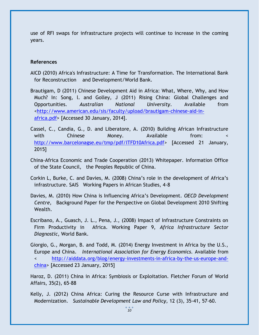use of RFI swaps for infrastructure projects will continue to increase in the coming years.

#### **References**

- AICD (2010) Africa's Infrastructure: A Time for Transformation. The International Bank for Reconstruction and Development/World Bank.
- Brautigam, D (2011) Chinese Development Aid in Africa: What, Where, Why, and How Much? In: Song, l. and Golley, J (2011) Rising China: Global Challenges and Opportunities. *Australian National University*. Available from [<http://www.american.edu/sis/faculty/upload/brautigam-chinese-aid-in](http://www.american.edu/sis/faculty/upload/brautigam-chinese-aid-in-africa.pdf)[africa.pdf>](http://www.american.edu/sis/faculty/upload/brautigam-chinese-aid-in-africa.pdf) [Accessed 30 January, 2014].
- Cassel, C., Candia, G., D. and Liberatore, A. (2010) Building African Infrastructure with Chinese Money. Available from: < [http://www.barcelonagse.eu/tmp/pdf/ITFD10Africa.pdf>](http://www.barcelonagse.eu/tmp/pdf/ITFD10Africa.pdf) [Accessed 21 January, 2015]
- China-Africa Economic and Trade Cooperation (2013) Whitepaper. Information Office of the State Council, the Peoples Republic of China.
- Corkin L, Burke, C. and Davies, M. (2008) China's role in the development of Africa's infrastructure. SAIS Working Papers in African Studies, 4-8
- Davies, M. (2010) How China is Influencing Africa's Development. *OECD Development Centre,* Background Paper for the Perspective on Global Development 2010 Shifting Wealth.
- Escribano, A., Guasch, J. L., Pena, J., (2008) Impact of Infrastructure Constraints on Firm Productivity in Africa. Working Paper 9, *Africa Infrastructure Sector Diagnostic*, World Bank.
- Giorgio, G., Morgan, B. and Todd, M. (2014) Energy Investment in Africa by the U.S., Europe and China. *International Association for Energy Economics.* Available from < [http://aiddata.org/blog/energy-investments-in-africa-by-the-us-europe-and](http://aiddata.org/blog/energy-investments-in-africa-by-the-us-europe-and-china)[china>](http://aiddata.org/blog/energy-investments-in-africa-by-the-us-europe-and-china) [Accessed 23 January, 2015]

Haroz, D. (2011) China in Africa: Symbiosis or Exploitation. Fletcher Forum of World Affairs, 35(2), 65-88

Kelly, J. (2012) China Africa: Curing the Resource Curse with Infrastructure and Modernization. *Sustainable Development Law and Policy,* 12 (3), 35-41, 57-60.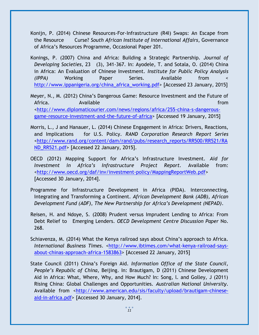- Konijn, P. (2014) Chinese Resources-For-Infrastructure (R4I) Swaps: An Escape from the Resource Curse? *South African Institute of International Affairs*, Governance of Africa's Resources Programme, Occasional Paper 201.
- Konings, P. (2007) China and Africa: Building a Strategic Partnership. *Journal of Developing Societies*, 23 (3), 341-367. In: Ayodele, T. and Sotala, O. (2014) China in Africa: An Evaluation of Chinese Investment. *Institute for Public Policy Analysis (IPPA)* Working Paper Series. Available from < [http://www.ippanigeria.org/china\\_africa\\_working.pdf>](http://www.ippanigeria.org/china_africa_working.pdf) [Accessed 23 January, 2015]
- Meyer, N., M. (2012) China's Dangerous Game: Resource Investment and the Future of Africa. Available from [<http://www.diplomaticourier.com/news/regions/africa/255-china-s-dangerous](http://www.diplomaticourier.com/news/regions/africa/255-china-s-dangerous-game-resource-investment-and-the-future-of-africa)[game-resource-investment-and-the-future-of-africa>](http://www.diplomaticourier.com/news/regions/africa/255-china-s-dangerous-game-resource-investment-and-the-future-of-africa) [Accessed 19 January, 2015]
- Morris, L., J and Hanauer, L. (2014) Chinese Engagement in Africa: Drivers, Reactions, and Implications for U.S. Policy. *RAND Corporation Research Report Series <*[http://www.rand.org/content/dam/rand/pubs/research\\_reports/RR500/RR521/RA](http://www.rand.org/content/dam/rand/pubs/research_reports/RR500/RR521/RAND_RR521.pdf) [ND\\_RR521.pdf>](http://www.rand.org/content/dam/rand/pubs/research_reports/RR500/RR521/RAND_RR521.pdf) [Accessed 22 January, 2015].
- OECD (2012) Mapping Support for Africa's Infrastructure Investment. *Aid for Investment in Africa's Infrastructure Project Report.* Available from: [<http://www.oecd.org/daf/inv/investment-policy/MappingReportWeb.pdf>](http://www.oecd.org/daf/inv/investment-policy/MappingReportWeb.pdf) [Accessed 30 January, 2014].
- Programme for Infrastructure Development in Africa (PIDA). Interconnecting, Integrating and Transforming a Continent. *African Development Bank (ADB), African Development Fund (ADF), The New Partnership for Africa's Development (NEPAD)*.
- Reisen, H. and Ndoye, S. (2008) Prudent versus Imprudent Lending to Africa: From Debt Relief to Emerging Lenders. *OECD Development Centre Discussion Paper* No. 268.
- Schiavenza, M. (2014) What the Kenya railroad says about China's approach to Africa. *International Business Times*. [<http://www.ibtimes.com/what-kenya-railroad-says](http://www.ibtimes.com/what-kenya-railroad-says-about-chinas-approach-africa-1583863)[about-chinas-approach-africa-1583863>](http://www.ibtimes.com/what-kenya-railroad-says-about-chinas-approach-africa-1583863) [Accessed 22 January, 2015]
- State Council (2011) China's Foreign Aid. *Information Office of the State Council, People's Republic of China*, Beijing. In: Brautigam, D (2011) Chinese Development Aid in Africa: What, Where, Why, and How Much? In: Song, l. and Golley, J (2011) Rising China: Global Challenges and Opportunities. *Australian National University*. Available from [<http://www.american.edu/sis/faculty/upload/brautigam-chinese](http://www.american.edu/sis/faculty/upload/brautigam-chinese-aid-in-africa.pdf)[aid-in-africa.pdf>](http://www.american.edu/sis/faculty/upload/brautigam-chinese-aid-in-africa.pdf) [Accessed 30 January, 2014].